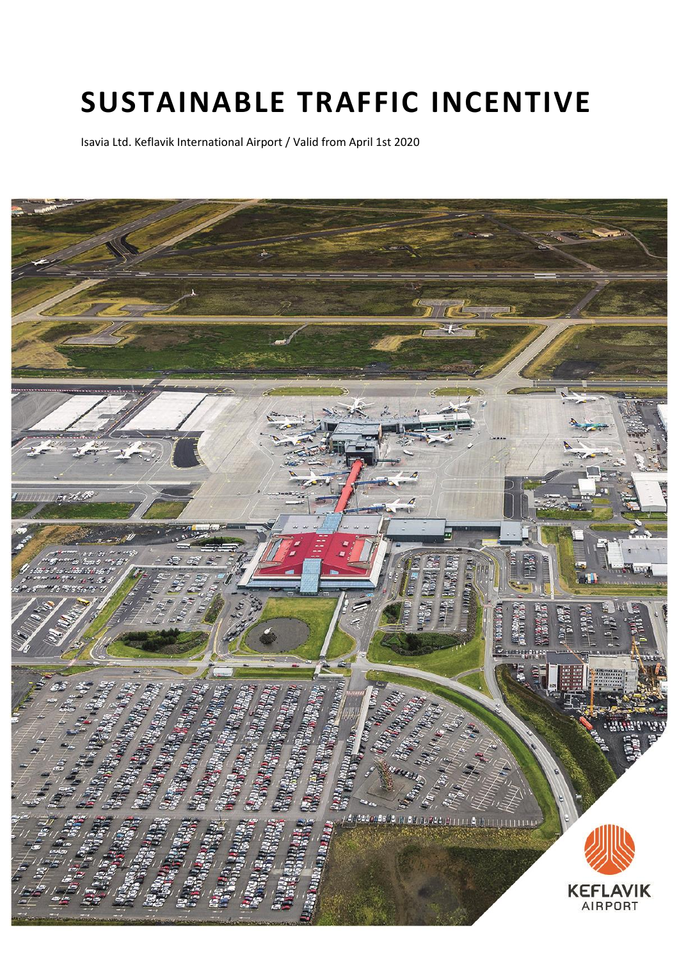# **SUSTAINABLE TRAFFIC INCENTIVE**

Isavia Ltd. Keflavik International Airport / Valid from April 1st 2020

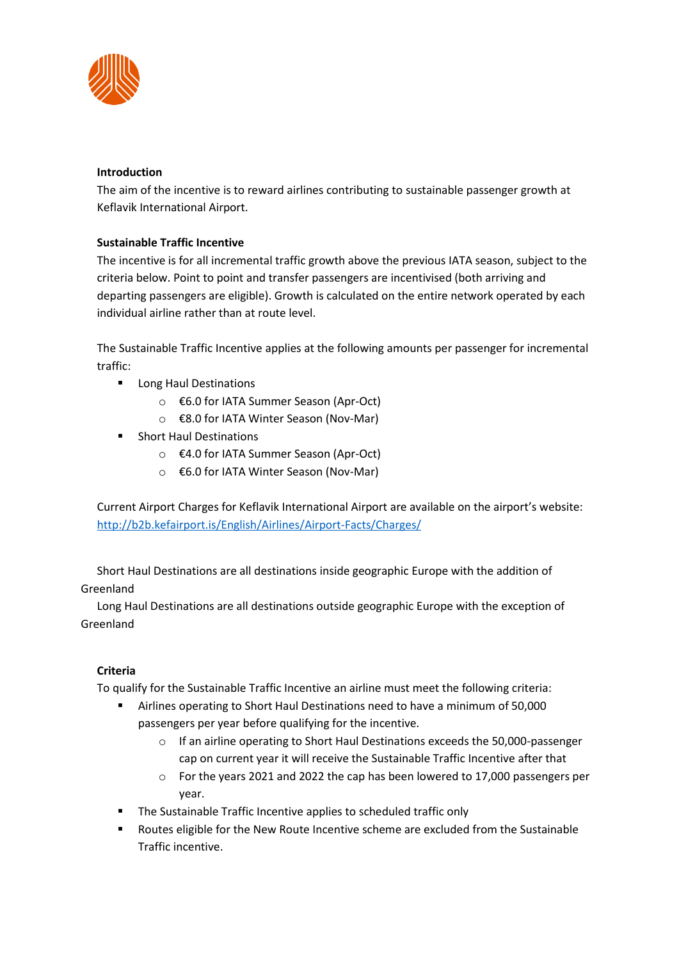

## **Introduction**

The aim of the incentive is to reward airlines contributing to sustainable passenger growth at Keflavik International Airport.

# **Sustainable Traffic Incentive**

The incentive is for all incremental traffic growth above the previous IATA season, subject to the criteria below. Point to point and transfer passengers are incentivised (both arriving and departing passengers are eligible). Growth is calculated on the entire network operated by each individual airline rather than at route level.

The Sustainable Traffic Incentive applies at the following amounts per passenger for incremental traffic:

- Long Haul Destinations
	- o €6.0 for IATA Summer Season (Apr-Oct)
	- o €8.0 for IATA Winter Season (Nov-Mar)
- Short Haul Destinations
	- o €4.0 for IATA Summer Season (Apr-Oct)
	- o €6.0 for IATA Winter Season (Nov-Mar)

Current Airport Charges for Keflavik International Airport are available on the airport's website: <http://b2b.kefairport.is/English/Airlines/Airport-Facts/Charges/>

Short Haul Destinations are all destinations inside geographic Europe with the addition of Greenland

Long Haul Destinations are all destinations outside geographic Europe with the exception of Greenland

# **Criteria**

To qualify for the Sustainable Traffic Incentive an airline must meet the following criteria:

- Airlines operating to Short Haul Destinations need to have a minimum of 50,000 passengers per year before qualifying for the incentive.
	- o If an airline operating to Short Haul Destinations exceeds the 50,000-passenger cap on current year it will receive the Sustainable Traffic Incentive after that
	- o For the years 2021 and 2022 the cap has been lowered to 17,000 passengers per year.
- The Sustainable Traffic Incentive applies to scheduled traffic only
- Routes eligible for the New Route Incentive scheme are excluded from the Sustainable Traffic incentive.